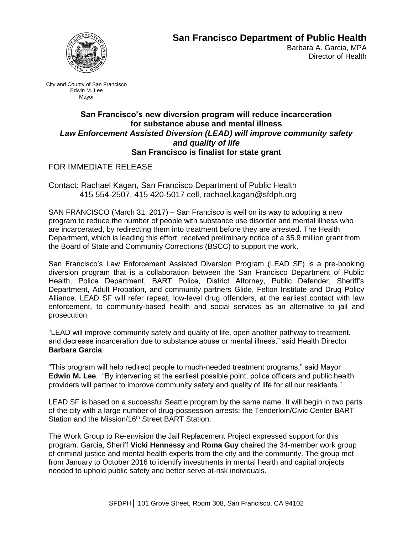

## **San Francisco Department of Public Health**

Barbara A. Garcia, MPA Director of Health

City and County of San Francisco Edwin M. Lee Mayor

## **San Francisco's new diversion program will reduce incarceration for substance abuse and mental illness** *Law Enforcement Assisted Diversion (LEAD) will improve community safety and quality of life* **San Francisco is finalist for state grant**

## FOR IMMEDIATE RELEASE

Contact: Rachael Kagan, San Francisco Department of Public Health 415 554-2507, 415 420-5017 cell, rachael.kagan@sfdph.org

SAN FRANCISCO (March 31, 2017) – San Francisco is well on its way to adopting a new program to reduce the number of people with substance use disorder and mental illness who are incarcerated, by redirecting them into treatment before they are arrested. The Health Department, which is leading this effort, received preliminary notice of a \$5.9 million grant from the Board of State and Community Corrections (BSCC) to support the work.

San Francisco's Law Enforcement Assisted Diversion Program (LEAD SF) is a pre-booking diversion program that is a collaboration between the San Francisco Department of Public Health, Police Department, BART Police, District Attorney, Public Defender, Sheriff's Department, Adult Probation, and community partners Glide, Felton Institute and Drug Policy Alliance. LEAD SF will refer repeat, low-level drug offenders, at the earliest contact with law enforcement, to community-based health and social services as an alternative to jail and prosecution.

"LEAD will improve community safety and quality of life, open another pathway to treatment, and decrease incarceration due to substance abuse or mental illness," said Health Director **Barbara Garcia**.

"This program will help redirect people to much-needed treatment programs," said Mayor **Edwin M. Lee**. "By intervening at the earliest possible point, police officers and public health providers will partner to improve community safety and quality of life for all our residents."

LEAD SF is based on a successful Seattle program by the same name. It will begin in two parts of the city with a large number of drug-possession arrests: the Tenderloin/Civic Center BART Station and the Mission/16<sup>th</sup> Street BART Station.

The Work Group to Re-envision the Jail Replacement Project expressed support for this program. Garcia, Sheriff **Vicki Hennessy** and **Roma Guy** chaired the 34-member work group of criminal justice and mental health experts from the city and the community. The group met from January to October 2016 to identify investments in mental health and capital projects needed to uphold public safety and better serve at-risk individuals.